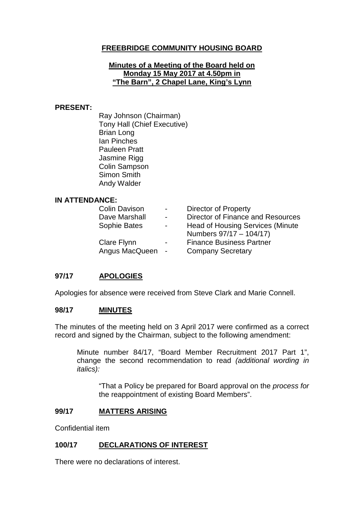# **FREEBRIDGE COMMUNITY HOUSING BOARD**

### **Minutes of a Meeting of the Board held on Monday 15 May 2017 at 4.50pm in "The Barn", 2 Chapel Lane, King's Lynn**

### **PRESENT:**

Ray Johnson (Chairman) Tony Hall (Chief Executive) Brian Long Ian Pinches Pauleen Pratt Jasmine Rigg Colin Sampson Simon Smith Andy Walder

### **IN ATTENDANCE:**

| <b>Colin Davison</b> | $\sim 100$     | <b>Director of Property</b>       |
|----------------------|----------------|-----------------------------------|
| Dave Marshall        | $\blacksquare$ | Director of Finance and Resources |
| Sophie Bates         | $\blacksquare$ | Head of Housing Services (Minute  |
|                      |                | Numbers 97/17 - 104/17)           |
| Clare Flynn          | $\blacksquare$ | <b>Finance Business Partner</b>   |
| Angus MacQueen       | $\sim$ $-$     | <b>Company Secretary</b>          |

# **97/17 APOLOGIES**

Apologies for absence were received from Steve Clark and Marie Connell.

### **98/17 MINUTES**

The minutes of the meeting held on 3 April 2017 were confirmed as a correct record and signed by the Chairman, subject to the following amendment:

Minute number 84/17, "Board Member Recruitment 2017 Part 1", change the second recommendation to read *(additional wording in italics):*

"That a Policy be prepared for Board approval on the *process for* the reappointment of existing Board Members".

### **99/17 MATTERS ARISING**

Confidential item

### **100/17 DECLARATIONS OF INTEREST**

There were no declarations of interest.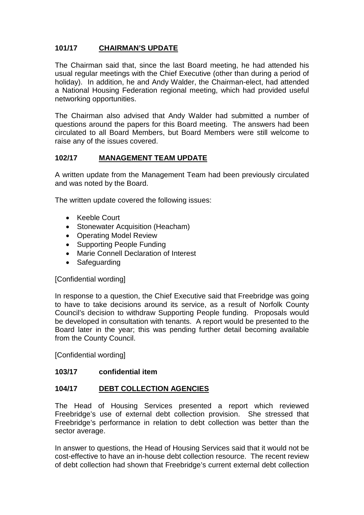# **101/17 CHAIRMAN'S UPDATE**

The Chairman said that, since the last Board meeting, he had attended his usual regular meetings with the Chief Executive (other than during a period of holiday). In addition, he and Andy Walder, the Chairman-elect, had attended a National Housing Federation regional meeting, which had provided useful networking opportunities.

The Chairman also advised that Andy Walder had submitted a number of questions around the papers for this Board meeting. The answers had been circulated to all Board Members, but Board Members were still welcome to raise any of the issues covered.

# **102/17 MANAGEMENT TEAM UPDATE**

A written update from the Management Team had been previously circulated and was noted by the Board.

The written update covered the following issues:

- Keeble Court
- Stonewater Acquisition (Heacham)
- Operating Model Review
- Supporting People Funding
- Marie Connell Declaration of Interest
- Safeguarding

### [Confidential wording]

In response to a question, the Chief Executive said that Freebridge was going to have to take decisions around its service, as a result of Norfolk County Council's decision to withdraw Supporting People funding. Proposals would be developed in consultation with tenants. A report would be presented to the Board later in the year; this was pending further detail becoming available from the County Council.

[Confidential wording]

### **103/17 confidential item**

### **104/17 DEBT COLLECTION AGENCIES**

The Head of Housing Services presented a report which reviewed Freebridge's use of external debt collection provision. She stressed that Freebridge's performance in relation to debt collection was better than the sector average.

In answer to questions, the Head of Housing Services said that it would not be cost-effective to have an in-house debt collection resource. The recent review of debt collection had shown that Freebridge's current external debt collection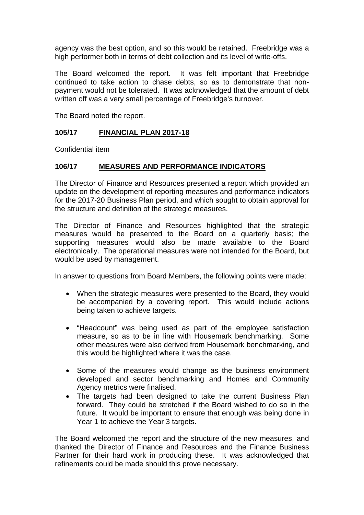agency was the best option, and so this would be retained. Freebridge was a high performer both in terms of debt collection and its level of write-offs.

The Board welcomed the report. It was felt important that Freebridge continued to take action to chase debts, so as to demonstrate that nonpayment would not be tolerated. It was acknowledged that the amount of debt written off was a very small percentage of Freebridge's turnover.

The Board noted the report.

# **105/17 FINANCIAL PLAN 2017-18**

Confidential item

### **106/17 MEASURES AND PERFORMANCE INDICATORS**

The Director of Finance and Resources presented a report which provided an update on the development of reporting measures and performance indicators for the 2017-20 Business Plan period, and which sought to obtain approval for the structure and definition of the strategic measures.

The Director of Finance and Resources highlighted that the strategic measures would be presented to the Board on a quarterly basis; the supporting measures would also be made available to the Board electronically. The operational measures were not intended for the Board, but would be used by management.

In answer to questions from Board Members, the following points were made:

- When the strategic measures were presented to the Board, they would be accompanied by a covering report. This would include actions being taken to achieve targets.
- "Headcount" was being used as part of the employee satisfaction measure, so as to be in line with Housemark benchmarking. Some other measures were also derived from Housemark benchmarking, and this would be highlighted where it was the case.
- Some of the measures would change as the business environment developed and sector benchmarking and Homes and Community Agency metrics were finalised.
- The targets had been designed to take the current Business Plan forward. They could be stretched if the Board wished to do so in the future. It would be important to ensure that enough was being done in Year 1 to achieve the Year 3 targets.

The Board welcomed the report and the structure of the new measures, and thanked the Director of Finance and Resources and the Finance Business Partner for their hard work in producing these. It was acknowledged that refinements could be made should this prove necessary.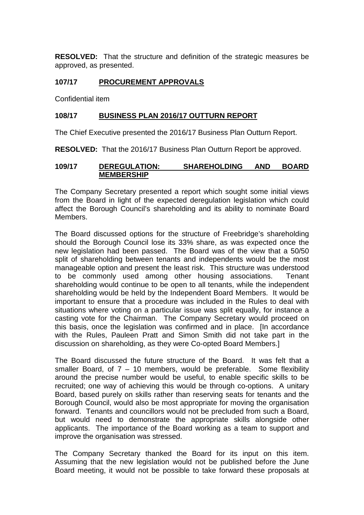**RESOLVED:** That the structure and definition of the strategic measures be approved, as presented.

## **107/17 PROCUREMENT APPROVALS**

Confidential item

### **108/17 BUSINESS PLAN 2016/17 OUTTURN REPORT**

The Chief Executive presented the 2016/17 Business Plan Outturn Report.

**RESOLVED:** That the 2016/17 Business Plan Outturn Report be approved.

### **109/17 DEREGULATION: SHAREHOLDING AND BOARD MEMBERSHIP**

The Company Secretary presented a report which sought some initial views from the Board in light of the expected deregulation legislation which could affect the Borough Council's shareholding and its ability to nominate Board Members.

The Board discussed options for the structure of Freebridge's shareholding should the Borough Council lose its 33% share, as was expected once the new legislation had been passed. The Board was of the view that a 50/50 split of shareholding between tenants and independents would be the most manageable option and present the least risk. This structure was understood to be commonly used among other housing associations. Tenant shareholding would continue to be open to all tenants, while the independent shareholding would be held by the Independent Board Members. It would be important to ensure that a procedure was included in the Rules to deal with situations where voting on a particular issue was split equally, for instance a casting vote for the Chairman. The Company Secretary would proceed on this basis, once the legislation was confirmed and in place. [In accordance with the Rules, Pauleen Pratt and Simon Smith did not take part in the discussion on shareholding, as they were Co-opted Board Members.]

The Board discussed the future structure of the Board. It was felt that a smaller Board, of  $7 - 10$  members, would be preferable. Some flexibility around the precise number would be useful, to enable specific skills to be recruited; one way of achieving this would be through co-options. A unitary Board, based purely on skills rather than reserving seats for tenants and the Borough Council, would also be most appropriate for moving the organisation forward. Tenants and councillors would not be precluded from such a Board, but would need to demonstrate the appropriate skills alongside other applicants. The importance of the Board working as a team to support and improve the organisation was stressed.

The Company Secretary thanked the Board for its input on this item. Assuming that the new legislation would not be published before the June Board meeting, it would not be possible to take forward these proposals at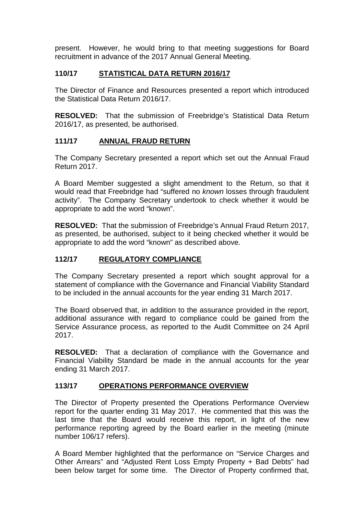present. However, he would bring to that meeting suggestions for Board recruitment in advance of the 2017 Annual General Meeting.

# **110/17 STATISTICAL DATA RETURN 2016/17**

The Director of Finance and Resources presented a report which introduced the Statistical Data Return 2016/17.

**RESOLVED:** That the submission of Freebridge's Statistical Data Return 2016/17, as presented, be authorised.

# **111/17 ANNUAL FRAUD RETURN**

The Company Secretary presented a report which set out the Annual Fraud Return 2017.

A Board Member suggested a slight amendment to the Return, so that it would read that Freebridge had "suffered no *known* losses through fraudulent activity". The Company Secretary undertook to check whether it would be appropriate to add the word "known".

**RESOLVED:** That the submission of Freebridge's Annual Fraud Return 2017, as presented, be authorised, subject to it being checked whether it would be appropriate to add the word "known" as described above.

## **112/17 REGULATORY COMPLIANCE**

The Company Secretary presented a report which sought approval for a statement of compliance with the Governance and Financial Viability Standard to be included in the annual accounts for the year ending 31 March 2017.

The Board observed that, in addition to the assurance provided in the report, additional assurance with regard to compliance could be gained from the Service Assurance process, as reported to the Audit Committee on 24 April 2017.

**RESOLVED:** That a declaration of compliance with the Governance and Financial Viability Standard be made in the annual accounts for the year ending 31 March 2017.

# **113/17 OPERATIONS PERFORMANCE OVERVIEW**

The Director of Property presented the Operations Performance Overview report for the quarter ending 31 May 2017. He commented that this was the last time that the Board would receive this report, in light of the new performance reporting agreed by the Board earlier in the meeting (minute number 106/17 refers).

A Board Member highlighted that the performance on "Service Charges and Other Arrears" and "Adjusted Rent Loss Empty Property + Bad Debts" had been below target for some time. The Director of Property confirmed that,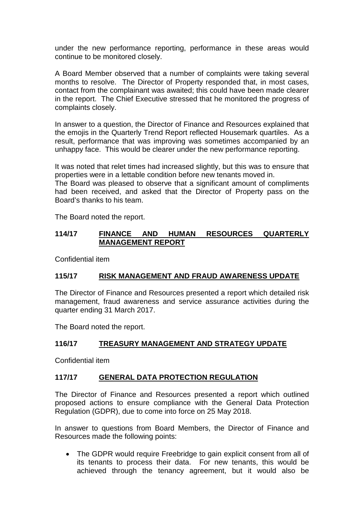under the new performance reporting, performance in these areas would continue to be monitored closely.

A Board Member observed that a number of complaints were taking several months to resolve. The Director of Property responded that, in most cases, contact from the complainant was awaited; this could have been made clearer in the report. The Chief Executive stressed that he monitored the progress of complaints closely.

In answer to a question, the Director of Finance and Resources explained that the emojis in the Quarterly Trend Report reflected Housemark quartiles. As a result, performance that was improving was sometimes accompanied by an unhappy face. This would be clearer under the new performance reporting.

It was noted that relet times had increased slightly, but this was to ensure that properties were in a lettable condition before new tenants moved in.

The Board was pleased to observe that a significant amount of compliments had been received, and asked that the Director of Property pass on the Board's thanks to his team.

The Board noted the report.

## **114/17 FINANCE AND HUMAN RESOURCES QUARTERLY MANAGEMENT REPORT**

Confidential item

# **115/17 RISK MANAGEMENT AND FRAUD AWARENESS UPDATE**

The Director of Finance and Resources presented a report which detailed risk management, fraud awareness and service assurance activities during the quarter ending 31 March 2017.

The Board noted the report.

# **116/17 TREASURY MANAGEMENT AND STRATEGY UPDATE**

Confidential item

# **117/17 GENERAL DATA PROTECTION REGULATION**

The Director of Finance and Resources presented a report which outlined proposed actions to ensure compliance with the General Data Protection Regulation (GDPR), due to come into force on 25 May 2018.

In answer to questions from Board Members, the Director of Finance and Resources made the following points:

• The GDPR would require Freebridge to gain explicit consent from all of its tenants to process their data. For new tenants, this would be achieved through the tenancy agreement, but it would also be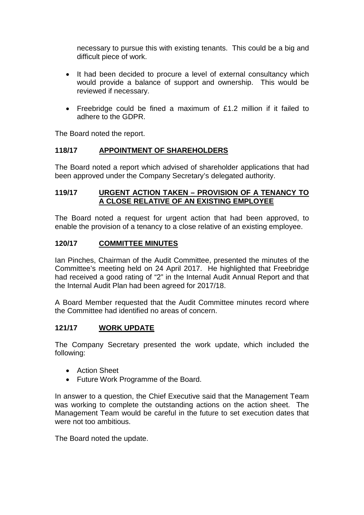necessary to pursue this with existing tenants. This could be a big and difficult piece of work.

- It had been decided to procure a level of external consultancy which would provide a balance of support and ownership. This would be reviewed if necessary.
- Freebridge could be fined a maximum of £1.2 million if it failed to adhere to the GDPR.

The Board noted the report.

# **118/17 APPOINTMENT OF SHAREHOLDERS**

The Board noted a report which advised of shareholder applications that had been approved under the Company Secretary's delegated authority.

## **119/17 URGENT ACTION TAKEN – PROVISION OF A TENANCY TO A CLOSE RELATIVE OF AN EXISTING EMPLOYEE**

The Board noted a request for urgent action that had been approved, to enable the provision of a tenancy to a close relative of an existing employee.

# **120/17 COMMITTEE MINUTES**

Ian Pinches, Chairman of the Audit Committee, presented the minutes of the Committee's meeting held on 24 April 2017. He highlighted that Freebridge had received a good rating of "2" in the Internal Audit Annual Report and that the Internal Audit Plan had been agreed for 2017/18.

A Board Member requested that the Audit Committee minutes record where the Committee had identified no areas of concern.

### **121/17 WORK UPDATE**

The Company Secretary presented the work update, which included the following:

- Action Sheet
- Future Work Programme of the Board.

In answer to a question, the Chief Executive said that the Management Team was working to complete the outstanding actions on the action sheet. The Management Team would be careful in the future to set execution dates that were not too ambitious.

The Board noted the update.